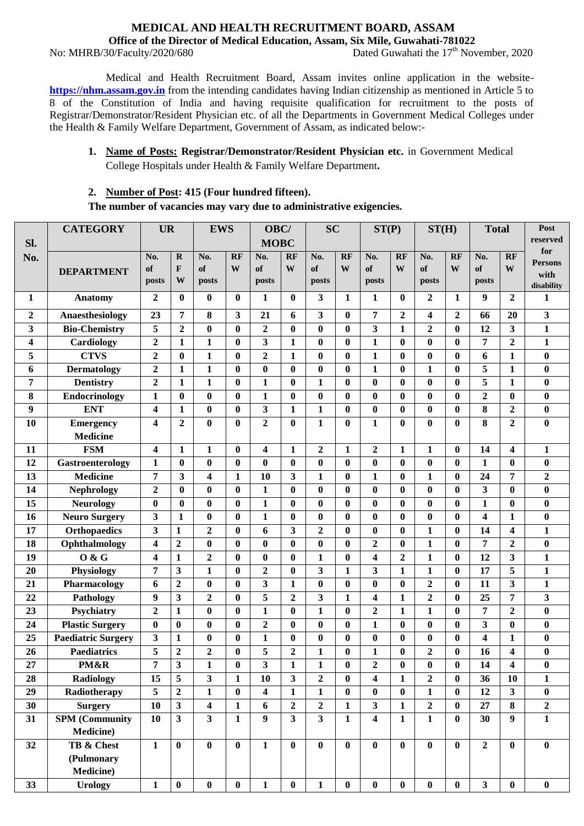#### **MEDICAL AND HEALTH RECRUITMENT BOARD, ASSAM Office of the Director of Medical Education, Assam, Six Mile, Guwahati-781022**

No: MHRB/30/Faculty/2020/680

Dated Guwahati the  $17<sup>th</sup>$  November, 2020

Medical and Health Recruitment Board, Assam invites online application in the website**[https://nhm.assam.gov.in](https://nhm.assam.gov.in/)** from the intending candidates having Indian citizenship as mentioned in Article 5 to 8 of the Constitution of India and having requisite qualification for recruitment to the posts of Registrar/Demonstrator/Resident Physician etc. of all the Departments in Government Medical Colleges under the Health & Family Welfare Department, Government of Assam, as indicated below:-

# **1. Name of Posts: Registrar/Demonstrator/Resident Physician etc.** in Government Medical College Hospitals under Health & Family Welfare Department**.**

## **2. Number of Post: 415 (Four hundred fifteen).**

**The number of vacancies may vary due to administrative exigencies.**

|                  | <b>CATEGORY</b>           | <b>UR</b>               |                         | <b>EWS</b>              |                  | OBC/                    |                         | <b>SC</b>        |              | ST(P)            |                  | ST(H)                   |                  | <b>Total</b>            |                         | Post                   |
|------------------|---------------------------|-------------------------|-------------------------|-------------------------|------------------|-------------------------|-------------------------|------------------|--------------|------------------|------------------|-------------------------|------------------|-------------------------|-------------------------|------------------------|
| Sl.              |                           |                         |                         |                         |                  | <b>MOBC</b>             |                         |                  |              |                  |                  |                         |                  |                         |                         | reserved               |
| No.              |                           | No.                     | $\mathbf R$             | No.                     | <b>RF</b>        | No.                     | RF                      | No.              | <b>RF</b>    | No.              | <b>RF</b>        | No.                     | RF               | No.                     | <b>RF</b>               | for                    |
|                  | <b>DEPARTMENT</b>         | of                      | $\mathbf{F}$            | of                      | W                | of                      | W                       | of               | W            | of               | W                | of                      | W                | of                      | W                       | <b>Persons</b><br>with |
|                  |                           | posts                   | W                       | posts                   |                  | posts                   |                         | posts            |              | posts            |                  | posts                   |                  | posts                   |                         | disability             |
| 1                | Anatomy                   | $\boldsymbol{2}$        | $\bf{0}$                | $\bf{0}$                | $\mathbf{0}$     | 1                       | $\mathbf{0}$            | 3                | 1            | 1                | $\bf{0}$         | $\boldsymbol{2}$        | 1                | $\boldsymbol{9}$        | $\boldsymbol{2}$        | 1                      |
| $\boldsymbol{2}$ | Anaesthesiology           | 23                      | 7                       | 8                       | 3                | 21                      | 6                       | 3                | $\bf{0}$     | 7                | $\boldsymbol{2}$ | 4                       | $\boldsymbol{2}$ | 66                      | 20                      | 3                      |
| 3                | <b>Bio-Chemistry</b>      | 5                       | $\overline{2}$          | $\bf{0}$                | $\bf{0}$         | $\overline{2}$          | $\boldsymbol{0}$        | $\bf{0}$         | $\bf{0}$     | 3                | $\mathbf{1}$     | $\overline{2}$          | $\bf{0}$         | 12                      | $\overline{\mathbf{3}}$ | $\mathbf{1}$           |
| 4                | Cardiology                | $\boldsymbol{2}$        | 1                       | $\mathbf{1}$            | $\boldsymbol{0}$ | 3                       | $\mathbf{1}$            | $\bf{0}$         | $\bf{0}$     | 1                | $\bf{0}$         | $\bf{0}$                | $\bf{0}$         | 7                       | $\mathbf{2}$            | $\mathbf{1}$           |
| 5                | <b>CTVS</b>               | $\mathbf{2}$            | $\bf{0}$                | $\mathbf{1}$            | $\bf{0}$         | $\overline{2}$          | $\mathbf{1}$            | $\bf{0}$         | 0            | $\mathbf{1}$     | $\bf{0}$         | $\bf{0}$                | $\mathbf{0}$     | 6                       | $\mathbf{1}$            | $\bf{0}$               |
| 6                | <b>Dermatology</b>        | $\overline{2}$          | $\mathbf{1}$            | $\mathbf{1}$            | $\bf{0}$         | $\bf{0}$                | $\mathbf{0}$            | $\bf{0}$         | $\bf{0}$     | $\mathbf{1}$     | $\bf{0}$         | $\mathbf{1}$            | $\boldsymbol{0}$ | 5                       | $\mathbf{1}$            | $\bf{0}$               |
| 7                | <b>Dentistry</b>          | $\boldsymbol{2}$        | $\mathbf{1}$            | $\mathbf{1}$            | $\bf{0}$         | $\mathbf{1}$            | $\bf{0}$                | $\mathbf{1}$     | $\bf{0}$     | $\bf{0}$         | $\bf{0}$         | $\bf{0}$                | $\bf{0}$         | 5                       | $\mathbf{1}$            | $\bf{0}$               |
| 8                | <b>Endocrinology</b>      | 1                       | $\bf{0}$                | $\bf{0}$                | $\bf{0}$         | $\mathbf{1}$            | $\bf{0}$                | $\bf{0}$         | $\bf{0}$     | $\bf{0}$         | $\bf{0}$         | $\bf{0}$                | $\bf{0}$         | $\overline{2}$          | $\bf{0}$                | $\bf{0}$               |
| 9                | <b>ENT</b>                | 4                       | $\mathbf{1}$            | $\boldsymbol{0}$        | $\bf{0}$         | 3                       | $\mathbf{1}$            | 1                | $\bf{0}$     | $\bf{0}$         | $\bf{0}$         | $\bf{0}$                | $\bf{0}$         | 8                       | $\mathbf{2}$            | $\bf{0}$               |
| 10               | <b>Emergency</b>          | 4                       | $\overline{2}$          | $\bf{0}$                | $\bf{0}$         | $\overline{2}$          | $\bf{0}$                | 1                | $\bf{0}$     | $\mathbf{1}$     | $\bf{0}$         | $\bf{0}$                | $\bf{0}$         | 8                       | $\overline{2}$          | $\bf{0}$               |
|                  | <b>Medicine</b>           |                         |                         |                         |                  |                         |                         |                  |              |                  |                  |                         |                  |                         |                         |                        |
| 11               | <b>FSM</b>                | 4                       | $\mathbf{1}$            | 1                       | $\bf{0}$         | 4                       | $\mathbf{1}$            | $\boldsymbol{2}$ | 1            | $\overline{2}$   | $\mathbf{1}$     | $\mathbf{1}$            | $\mathbf{0}$     | 14                      | $\overline{\mathbf{4}}$ | 1                      |
| 12               | Gastroenterology          | 1                       | $\boldsymbol{0}$        | $\bf{0}$                | $\boldsymbol{0}$ | $\bf{0}$                | $\mathbf{0}$            | $\bf{0}$         | $\bf{0}$     | $\boldsymbol{0}$ | $\boldsymbol{0}$ | $\bf{0}$                | $\boldsymbol{0}$ | $\mathbf{1}$            | $\bf{0}$                | $\boldsymbol{0}$       |
| 13               | <b>Medicine</b>           | 7                       | 3                       | $\overline{\mathbf{4}}$ | $\mathbf{1}$     | 10                      | 3                       | $\mathbf{1}$     | $\bf{0}$     | $\mathbf{1}$     | $\boldsymbol{0}$ | $\mathbf{1}$            | $\bf{0}$         | 24                      | 7                       | $\boldsymbol{2}$       |
| 14               | <b>Nephrology</b>         | $\overline{\mathbf{2}}$ | $\bf{0}$                | $\bf{0}$                | $\bf{0}$         | $\mathbf{1}$            | $\bf{0}$                | $\bf{0}$         | $\bf{0}$     | $\bf{0}$         | $\bf{0}$         | $\bf{0}$                | $\bf{0}$         | $\overline{\mathbf{3}}$ | $\bf{0}$                | $\bf{0}$               |
| 15               | <b>Neurology</b>          | $\bf{0}$                | $\bf{0}$                | $\bf{0}$                | $\bf{0}$         | $\mathbf{1}$            | $\mathbf{0}$            | $\bf{0}$         | $\bf{0}$     | $\bf{0}$         | $\bf{0}$         | $\bf{0}$                | $\boldsymbol{0}$ | $\mathbf{1}$            | $\bf{0}$                | $\bf{0}$               |
| 16               | <b>Neuro Surgery</b>      | 3                       | $\mathbf{1}$            | $\bf{0}$                | $\bf{0}$         | $\mathbf{1}$            | $\bf{0}$                | $\bf{0}$         | $\bf{0}$     | $\bf{0}$         | $\bf{0}$         | $\bf{0}$                | $\boldsymbol{0}$ | $\overline{\mathbf{4}}$ | $\mathbf{1}$            | $\bf{0}$               |
| 17               | <b>Orthopaedics</b>       | 3                       | $\mathbf{1}$            | $\overline{2}$          | $\bf{0}$         | 6                       | $\overline{\mathbf{3}}$ | $\overline{2}$   | $\bf{0}$     | $\bf{0}$         | $\bf{0}$         | $\mathbf{1}$            | $\boldsymbol{0}$ | 14                      | $\overline{\mathbf{4}}$ | $\mathbf{1}$           |
| 18               | Ophthalmology             | 4                       | $\overline{2}$          | $\bf{0}$                | $\bf{0}$         | $\bf{0}$                | $\boldsymbol{0}$        | $\bf{0}$         | 0            | $\boldsymbol{2}$ | $\bf{0}$         | $\mathbf{1}$            | $\mathbf{0}$     | $\overline{7}$          | $\overline{2}$          | $\bf{0}$               |
| 19               | 0 & G                     | 4                       | $\mathbf{1}$            | $\overline{2}$          | $\bf{0}$         | $\bf{0}$                | $\mathbf{0}$            | $\mathbf{1}$     | $\bf{0}$     | 4                | $\overline{2}$   | $\mathbf{1}$            | $\boldsymbol{0}$ | 12                      | 3                       | $\mathbf{1}$           |
| 20               | Physiology                | 7                       | 3                       | $\mathbf{1}$            | $\bf{0}$         | $\boldsymbol{2}$        | $\boldsymbol{0}$        | 3                | $\mathbf{1}$ | 3                | $\mathbf{1}$     | $\mathbf{1}$            | $\mathbf{0}$     | 17                      | 5                       | $\mathbf{1}$           |
| 21               | Pharmacology              | 6                       | $\overline{2}$          | $\bf{0}$                | $\bf{0}$         | 3                       | 1                       | $\bf{0}$         | $\bf{0}$     | $\bf{0}$         | $\bf{0}$         | $\overline{\mathbf{c}}$ | $\bf{0}$         | 11                      | 3                       | $\mathbf{1}$           |
| 22               | Pathology                 | 9                       | $\mathbf{3}$            | $\boldsymbol{2}$        | $\bf{0}$         | 5                       | $\overline{2}$          | 3                | 1            | 4                | $\mathbf{1}$     | $\boldsymbol{2}$        | $\mathbf{0}$     | 25                      | 7                       | 3                      |
| 23               | Psychiatry                | $\overline{2}$          | $\mathbf{1}$            | $\bf{0}$                | $\bf{0}$         | $\mathbf{1}$            | $\bf{0}$                | $\mathbf{1}$     | $\bf{0}$     | $\overline{2}$   | $\mathbf{1}$     | $\mathbf{1}$            | $\bf{0}$         | $\overline{7}$          | $\overline{2}$          | $\bf{0}$               |
| 24               | <b>Plastic Surgery</b>    | $\boldsymbol{0}$        | $\boldsymbol{0}$        | $\bf{0}$                | $\boldsymbol{0}$ | $\boldsymbol{2}$        | $\mathbf{0}$            | $\bf{0}$         | $\bf{0}$     | 1                | $\bf{0}$         | $\bf{0}$                | $\bf{0}$         | 3                       | $\bf{0}$                | $\bf{0}$               |
| 25               | <b>Paediatric Surgery</b> | 3                       | $\mathbf{1}$            | $\bf{0}$                | $\boldsymbol{0}$ | $\mathbf{1}$            | $\mathbf{0}$            | $\bf{0}$         | $\bf{0}$     | $\boldsymbol{0}$ | $\bf{0}$         | $\bf{0}$                | $\mathbf{0}$     | $\overline{\mathbf{4}}$ | $\mathbf{1}$            | $\bf{0}$               |
| 26               | <b>Paediatrics</b>        | 5                       | $\boldsymbol{2}$        | $\overline{2}$          | $\bf{0}$         | 5                       | $\overline{2}$          | $\mathbf{1}$     | $\bf{0}$     | $\mathbf{1}$     | $\boldsymbol{0}$ | $\overline{2}$          | $\bf{0}$         | 16                      | 4                       | $\bf{0}$               |
| 27               | PM&R                      | 7                       | $\mathbf{3}$            | $\mathbf{1}$            | $\pmb{0}$        | $\mathbf{3}$            | $\mathbf{1}$            | $\mathbf{1}$     | 0            | $\mathbf{2}$     | $\bf{0}$         | $\boldsymbol{0}$        | $\bf{0}$         | 14                      | 4                       | $\boldsymbol{0}$       |
| 28               | <b>Radiology</b>          | 15                      | 5                       | $\overline{\mathbf{3}}$ | $\mathbf{1}$     | 10                      | $\overline{\mathbf{3}}$ | $\overline{2}$   | $\mathbf{0}$ | 4                | $\mathbf{1}$     | $\overline{2}$          | $\bf{0}$         | 36                      | 10                      | 1                      |
| 29               | Radiotherapy              | 5                       | $\boldsymbol{2}$        | $\mathbf{1}$            | $\bf{0}$         | $\overline{\mathbf{4}}$ | $\mathbf{1}$            | $\mathbf{1}$     | $\bf{0}$     | $\bf{0}$         | $\bf{0}$         | $\mathbf{1}$            | $\bf{0}$         | 12                      | $\mathbf{3}$            | $\bf{0}$               |
| 30               | <b>Surgery</b>            | 10                      | $\overline{\mathbf{3}}$ | $\overline{\mathbf{4}}$ | $\mathbf{1}$     | 6                       | $\overline{2}$          | $\overline{2}$   | $\mathbf{1}$ | $\mathbf{3}$     | $\mathbf{1}$     | $\overline{2}$          | $\bf{0}$         | 27                      | 8                       | $\overline{2}$         |
| 31               | <b>SPM</b> (Community     | 10                      | $\mathbf{3}$            | $\overline{\mathbf{3}}$ | $\mathbf{1}$     | 9                       | 3                       | $\mathbf{3}$     | $\mathbf{1}$ | 4                | $\mathbf{1}$     | $\mathbf{1}$            | $\bf{0}$         | 30                      | 9                       | $\mathbf{1}$           |
|                  | <b>Medicine</b> )         |                         |                         |                         |                  |                         |                         |                  |              |                  |                  |                         |                  |                         |                         |                        |
| 32               | TB & Chest                | $\mathbf{1}$            | $\bf{0}$                | $\bf{0}$                | $\bf{0}$         | $\mathbf{1}$            | $\bf{0}$                | $\bf{0}$         | $\bf{0}$     | $\bf{0}$         | $\bf{0}$         | $\bf{0}$                | $\bf{0}$         | $\overline{2}$          | $\bf{0}$                | $\bf{0}$               |
|                  | (Pulmonary                |                         |                         |                         |                  |                         |                         |                  |              |                  |                  |                         |                  |                         |                         |                        |
|                  | <b>Medicine</b> )         |                         |                         |                         |                  |                         |                         |                  |              |                  |                  |                         |                  |                         |                         |                        |
| 33               | <b>Urology</b>            | $\mathbf{1}$            | $\boldsymbol{0}$        | $\boldsymbol{0}$        | $\pmb{0}$        | $\mathbf{1}$            | $\boldsymbol{0}$        | $\mathbf{1}$     | $\bf{0}$     | $\bf{0}$         | $\bf{0}$         | $\boldsymbol{0}$        | $\bf{0}$         | $\overline{\mathbf{3}}$ | $\bf{0}$                | $\bf{0}$               |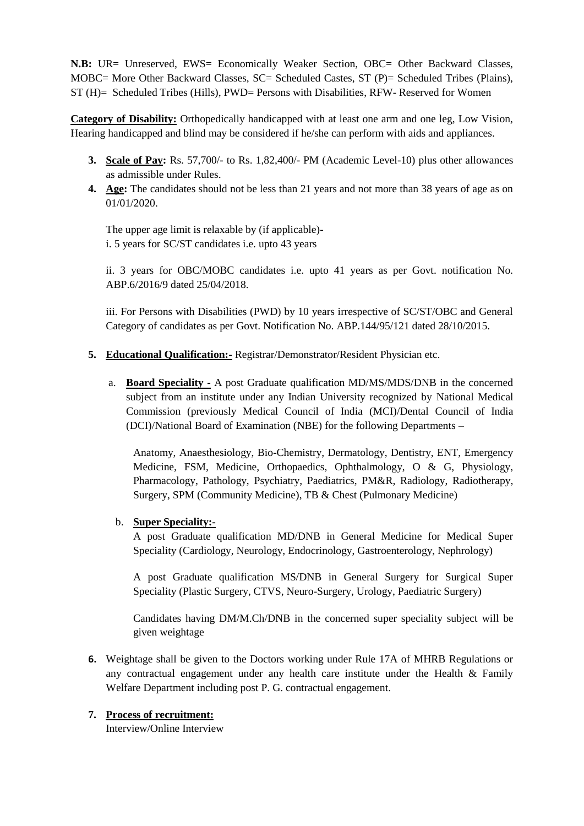**N.B:** UR= Unreserved, EWS= Economically Weaker Section, OBC= Other Backward Classes, MOBC= More Other Backward Classes, SC= Scheduled Castes, ST (P)= Scheduled Tribes (Plains), ST (H)= Scheduled Tribes (Hills), PWD= Persons with Disabilities, RFW- Reserved for Women

**Category of Disability:** Orthopedically handicapped with at least one arm and one leg, Low Vision, Hearing handicapped and blind may be considered if he/she can perform with aids and appliances.

- **3. Scale of Pay:** Rs. 57,700/- to Rs. 1,82,400/- PM (Academic Level-10) plus other allowances as admissible under Rules.
- **4. Age:** The candidates should not be less than 21 years and not more than 38 years of age as on 01/01/2020.

The upper age limit is relaxable by (if applicable) i. 5 years for SC/ST candidates i.e. upto 43 years

ii. 3 years for OBC/MOBC candidates i.e. upto 41 years as per Govt. notification No. ABP.6/2016/9 dated 25/04/2018.

iii. For Persons with Disabilities (PWD) by 10 years irrespective of SC/ST/OBC and General Category of candidates as per Govt. Notification No. ABP.144/95/121 dated 28/10/2015.

- **5. Educational Qualification:-** Registrar/Demonstrator/Resident Physician etc.
	- a. **Board Speciality -** A post Graduate qualification MD/MS/MDS/DNB in the concerned subject from an institute under any Indian University recognized by National Medical Commission (previously Medical Council of India (MCI)/Dental Council of India (DCI)/National Board of Examination (NBE) for the following Departments –

Anatomy, Anaesthesiology, Bio-Chemistry, Dermatology, Dentistry, ENT, Emergency Medicine, FSM, Medicine, Orthopaedics, Ophthalmology, O & G, Physiology, Pharmacology, Pathology, Psychiatry, Paediatrics, PM&R, Radiology, Radiotherapy, Surgery, SPM (Community Medicine), TB & Chest (Pulmonary Medicine)

b. **Super Speciality:-**

A post Graduate qualification MD/DNB in General Medicine for Medical Super Speciality (Cardiology, Neurology, Endocrinology, Gastroenterology, Nephrology)

A post Graduate qualification MS/DNB in General Surgery for Surgical Super Speciality (Plastic Surgery, CTVS, Neuro-Surgery, Urology, Paediatric Surgery)

Candidates having DM/M.Ch/DNB in the concerned super speciality subject will be given weightage

**6.** Weightage shall be given to the Doctors working under Rule 17A of MHRB Regulations or any contractual engagement under any health care institute under the Health & Family Welfare Department including post P. G. contractual engagement.

### **7. Process of recruitment:**

Interview/Online Interview